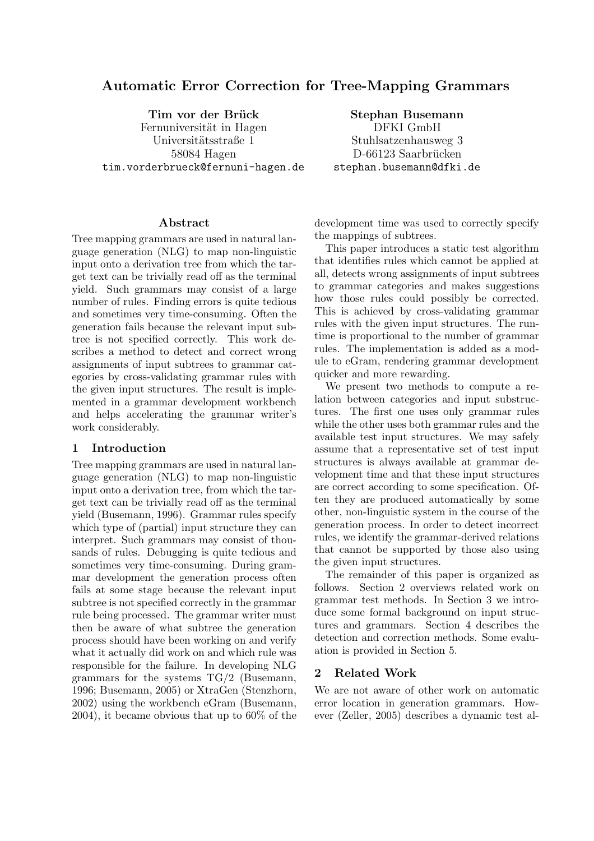# Automatic Error Correction for Tree-Mapping Grammars

Tim vor der Brück Fernuniversität in Hagen Universitätsstraße 1 58084 Hagen tim.vorderbrueck@fernuni-hagen.de

Stephan Busemann DFKI GmbH Stuhlsatzenhausweg 3 D-66123 Saarbrücken stephan.busemann@dfki.de

#### Abstract

Tree mapping grammars are used in natural language generation (NLG) to map non-linguistic input onto a derivation tree from which the target text can be trivially read off as the terminal yield. Such grammars may consist of a large number of rules. Finding errors is quite tedious and sometimes very time-consuming. Often the generation fails because the relevant input subtree is not specified correctly. This work describes a method to detect and correct wrong assignments of input subtrees to grammar categories by cross-validating grammar rules with the given input structures. The result is implemented in a grammar development workbench and helps accelerating the grammar writer's work considerably.

#### 1 Introduction

Tree mapping grammars are used in natural language generation (NLG) to map non-linguistic input onto a derivation tree, from which the target text can be trivially read off as the terminal yield (Busemann, 1996). Grammar rules specify which type of (partial) input structure they can interpret. Such grammars may consist of thousands of rules. Debugging is quite tedious and sometimes very time-consuming. During grammar development the generation process often fails at some stage because the relevant input subtree is not specified correctly in the grammar rule being processed. The grammar writer must then be aware of what subtree the generation process should have been working on and verify what it actually did work on and which rule was responsible for the failure. In developing NLG grammars for the systems TG/2 (Busemann, 1996; Busemann, 2005) or XtraGen (Stenzhorn, 2002) using the workbench eGram (Busemann, 2004), it became obvious that up to 60% of the development time was used to correctly specify the mappings of subtrees.

This paper introduces a static test algorithm that identifies rules which cannot be applied at all, detects wrong assignments of input subtrees to grammar categories and makes suggestions how those rules could possibly be corrected. This is achieved by cross-validating grammar rules with the given input structures. The runtime is proportional to the number of grammar rules. The implementation is added as a module to eGram, rendering grammar development quicker and more rewarding.

We present two methods to compute a relation between categories and input substructures. The first one uses only grammar rules while the other uses both grammar rules and the available test input structures. We may safely assume that a representative set of test input structures is always available at grammar development time and that these input structures are correct according to some specification. Often they are produced automatically by some other, non-linguistic system in the course of the generation process. In order to detect incorrect rules, we identify the grammar-derived relations that cannot be supported by those also using the given input structures.

The remainder of this paper is organized as follows. Section 2 overviews related work on grammar test methods. In Section 3 we introduce some formal background on input structures and grammars. Section 4 describes the detection and correction methods. Some evaluation is provided in Section 5.

### 2 Related Work

We are not aware of other work on automatic error location in generation grammars. However (Zeller, 2005) describes a dynamic test al-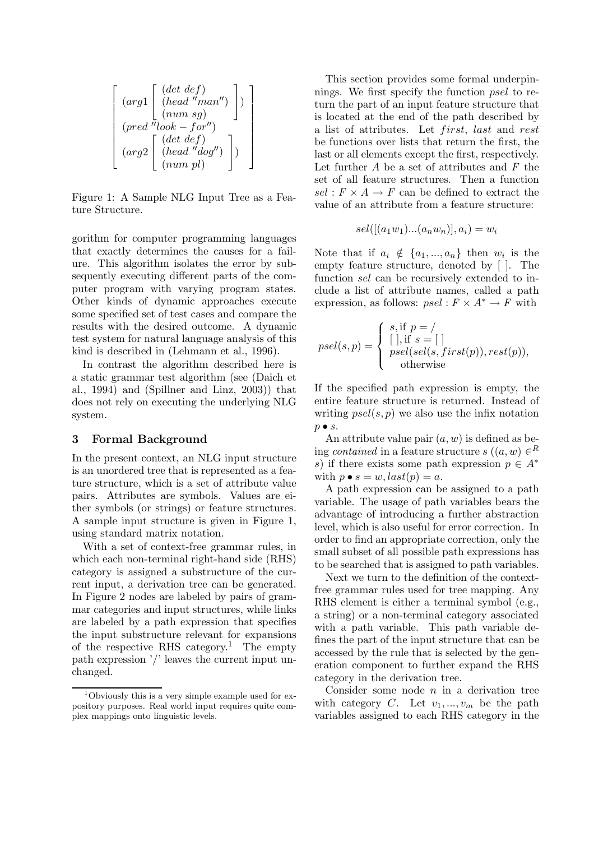$$
\left[\begin{array}{c}\n(arg1\left[\begin{array}{c}\n(det\ def)\\(head\text{''man''})\\(num\ sg)\end{array}\right]\n)\n\end{array}\right]\n\right]\n\left(\n\begin{array}{c}\n(num\ sg)\\(pred\text{''look}-for'')\\(arg2\left[\begin{array}{c}\n(det\ def)\\(head\text{''dog''})\\(num\ pl)\end{array}\right]\n\end{array}\right)
$$

Figure 1: A Sample NLG Input Tree as a Feature Structure.

gorithm for computer programming languages that exactly determines the causes for a failure. This algorithm isolates the error by subsequently executing different parts of the computer program with varying program states. Other kinds of dynamic approaches execute some specified set of test cases and compare the results with the desired outcome. A dynamic test system for natural language analysis of this kind is described in (Lehmann et al., 1996).

In contrast the algorithm described here is a static grammar test algorithm (see (Daich et al., 1994) and (Spillner and Linz, 2003)) that does not rely on executing the underlying NLG system.

#### 3 Formal Background

In the present context, an NLG input structure is an unordered tree that is represented as a feature structure, which is a set of attribute value pairs. Attributes are symbols. Values are either symbols (or strings) or feature structures. A sample input structure is given in Figure 1, using standard matrix notation.

With a set of context-free grammar rules, in which each non-terminal right-hand side (RHS) category is assigned a substructure of the current input, a derivation tree can be generated. In Figure 2 nodes are labeled by pairs of grammar categories and input structures, while links are labeled by a path expression that specifies the input substructure relevant for expansions of the respective RHS category.<sup>1</sup> The empty path expression '/' leaves the current input unchanged.

This section provides some formal underpinnings. We first specify the function *psel* to return the part of an input feature structure that is located at the end of the path described by a list of attributes. Let first, last and rest be functions over lists that return the first, the last or all elements except the first, respectively. Let further  $A$  be a set of attributes and  $F$  the set of all feature structures. Then a function  $sel : F \times A \rightarrow F$  can be defined to extract the value of an attribute from a feature structure:

$$
sel([(a_1w_1)...(a_nw_n)],a_i) = w_i
$$

Note that if  $a_i \notin \{a_1, ..., a_n\}$  then  $w_i$  is the empty feature structure, denoted by [ ]. The function sel can be recursively extended to include a list of attribute names, called a path expression, as follows:  $psel : F \times A^* \to F$  with

$$
psel(s,p) = \begin{cases} s, \text{if } p = / \\ [\ ], \text{if } s = [\ ] \\ psel(self(s, first(p)), rest(p)), \\ \text{otherwise} \end{cases}
$$

If the specified path expression is empty, the entire feature structure is returned. Instead of writing  $psel(s, p)$  we also use the infix notation  $p \bullet s$ .

An attribute value pair  $(a, w)$  is defined as being *contained* in a feature structure  $s((a, w) \in R)$ s) if there exists some path expression  $p \in A^*$ with  $p \bullet s = w$ ,  $last(p) = a$ .

A path expression can be assigned to a path variable. The usage of path variables bears the advantage of introducing a further abstraction level, which is also useful for error correction. In order to find an appropriate correction, only the small subset of all possible path expressions has to be searched that is assigned to path variables.

Next we turn to the definition of the contextfree grammar rules used for tree mapping. Any RHS element is either a terminal symbol (e.g., a string) or a non-terminal category associated with a path variable. This path variable defines the part of the input structure that can be accessed by the rule that is selected by the generation component to further expand the RHS category in the derivation tree.

Consider some node  $n$  in a derivation tree with category C. Let  $v_1, ..., v_m$  be the path variables assigned to each RHS category in the

 $1$ Obviously this is a very simple example used for expository purposes. Real world input requires quite complex mappings onto linguistic levels.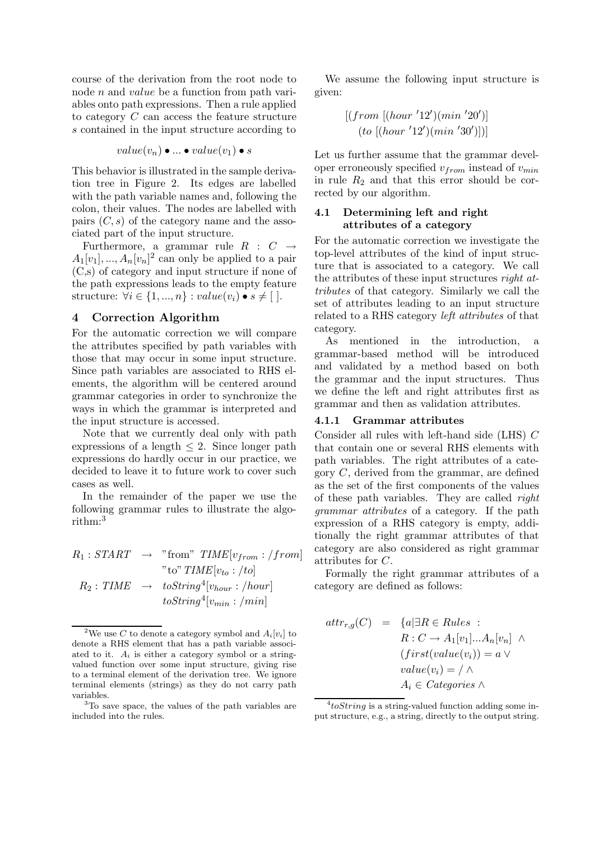course of the derivation from the root node to node n and value be a function from path variables onto path expressions. Then a rule applied to category C can access the feature structure s contained in the input structure according to

$$
value(v_n) \bullet ... \bullet value(v_1) \bullet s
$$

This behavior is illustrated in the sample derivation tree in Figure 2. Its edges are labelled with the path variable names and, following the colon, their values. The nodes are labelled with pairs  $(C, s)$  of the category name and the associated part of the input structure.

Furthermore, a grammar rule  $R : C \rightarrow$  $A_1[v_1],...,A_n[v_n]^2$  can only be applied to a pair (C,s) of category and input structure if none of the path expressions leads to the empty feature structure:  $\forall i \in \{1, ..., n\} : value(v_i) \bullet s \neq [$ .

### 4 Correction Algorithm

For the automatic correction we will compare the attributes specified by path variables with those that may occur in some input structure. Since path variables are associated to RHS elements, the algorithm will be centered around grammar categories in order to synchronize the ways in which the grammar is interpreted and the input structure is accessed.

Note that we currently deal only with path expressions of a length  $\leq 2$ . Since longer path expressions do hardly occur in our practice, we decided to leave it to future work to cover such cases as well.

In the remainder of the paper we use the following grammar rules to illustrate the algorithm:<sup>3</sup>

$$
R_1: START \rightarrow \text{"from" TIME}[v_{from} : /from]
$$
  
\n"\nto" TIME[v\_{to} : /to]  
\n
$$
R_2: TIME \rightarrow \text{toString}^4[v_{hour} : /hour]
$$
  
\n
$$
\text{toString}^4[v_{min} : /min]
$$

We assume the following input structure is given:

$$
[(from [(hour '12')(min '20')]\n (to [(hour '12')(min '30')])]
$$

Let us further assume that the grammar developer erroneously specified  $v_{from}$  instead of  $v_{min}$ in rule  $R_2$  and that this error should be corrected by our algorithm.

# 4.1 Determining left and right attributes of a category

For the automatic correction we investigate the top-level attributes of the kind of input structure that is associated to a category. We call the attributes of these input structures *right at*tributes of that category. Similarly we call the set of attributes leading to an input structure related to a RHS category *left attributes* of that category.

As mentioned in the introduction, a grammar-based method will be introduced and validated by a method based on both the grammar and the input structures. Thus we define the left and right attributes first as grammar and then as validation attributes.

## 4.1.1 Grammar attributes

Consider all rules with left-hand side (LHS) C that contain one or several RHS elements with path variables. The right attributes of a category C, derived from the grammar, are defined as the set of the first components of the values of these path variables. They are called right grammar attributes of a category. If the path expression of a RHS category is empty, additionally the right grammar attributes of that category are also considered as right grammar attributes for C.

Formally the right grammar attributes of a category are defined as follows:

$$
attr_{r,g}(C) = \{a | \exists R \in Rules :\nR : C \to A_1[v_1]...A_n[v_n] \land(first(value(v_i)) = a \lorvalue(v_i) = / \landA_i \in Categories \land
$$

<sup>&</sup>lt;sup>2</sup>We use C to denote a category symbol and  $A_i[v_i]$  to denote a RHS element that has a path variable associated to it.  $A_i$  is either a category symbol or a stringvalued function over some input structure, giving rise to a terminal element of the derivation tree. We ignore terminal elements (strings) as they do not carry path variables.

<sup>3</sup>To save space, the values of the path variables are included into the rules.

 $^{4}toString$  is a string-valued function adding some input structure, e.g., a string, directly to the output string.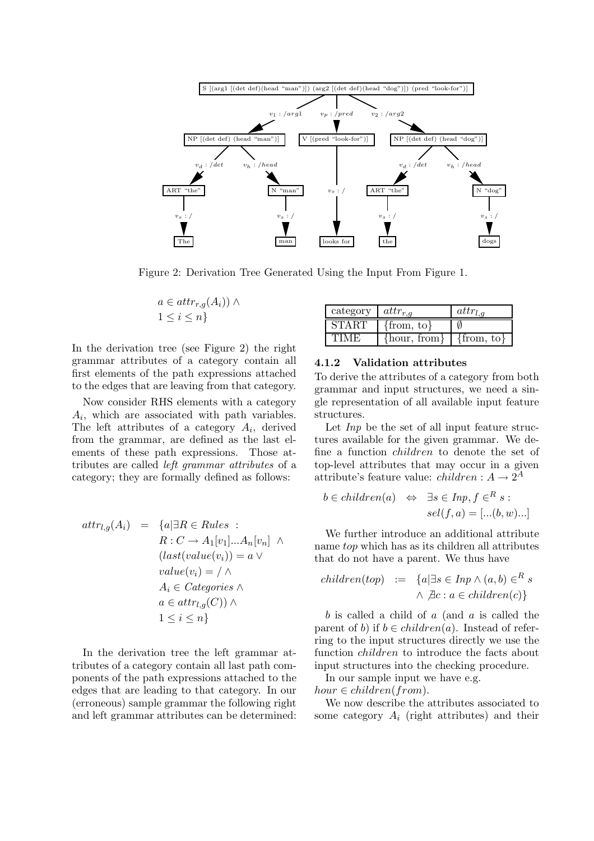

Figure 2: Derivation Tree Generated Using the Input From Figure 1.

$$
a \in attr_{r,g}(A_i)) \wedge 1 \leq i \leq n
$$

In the derivation tree (see Figure 2) the right grammar attributes of a category contain all first elements of the path expressions attached to the edges that are leaving from that category.

Now consider RHS elements with a category  $A_i$ , which are associated with path variables. The left attributes of a category  $A_i$ , derived from the grammar, are defined as the last elements of these path expressions. Those attributes are called left grammar attributes of a category; they are formally defined as follows:

$$
attr_{l,g}(A_i) = \{a | \exists R \in Rules :\nR : C \to A_1[v_1]...A_n[v_n] \land(last(value(v_i)) = a \lorvalue(v_i) = / \landA_i \in Categories \landa \in attr_{l,g}(C)) \land1 \le i \le n\}
$$

In the derivation tree the left grammar attributes of a category contain all last path components of the path expressions attached to the edges that are leading to that category. In our (erroneous) sample grammar the following right and left grammar attributes can be determined:

| category     | $attr_{r,q}$     | $attr_{l,a}$   |
|--------------|------------------|----------------|
| <b>START</b> | $\{from, to\}$   |                |
| TIMF         | $\{hour, from\}$ | $\{from, to\}$ |

#### 4.1.2 Validation attributes

To derive the attributes of a category from both grammar and input structures, we need a single representation of all available input feature structures.

Let Inp be the set of all input feature structures available for the given grammar. We define a function children to denote the set of top-level attributes that may occur in a given attribute's feature value:  $children: A \rightarrow 2^A$ 

$$
b \in children(a) \Leftrightarrow \exists s \in Imp, f \in^R s :
$$
  
 $sel(f, a) = [...(b, w)...]$ 

We further introduce an additional attribute name top which has as its children all attributes that do not have a parent. We thus have

$$
children(top) := \{a | \exists s \in Imp \land (a, b) \in^R s \land \not\exists c : a \in children(c)\}
$$

 $b$  is called a child of  $a$  (and  $a$  is called the parent of b) if  $b \in children(a)$ . Instead of referring to the input structures directly we use the function *children* to introduce the facts about input structures into the checking procedure.

In our sample input we have e.g.  $hour \in children(from)$ .

We now describe the attributes associated to some category  $A_i$  (right attributes) and their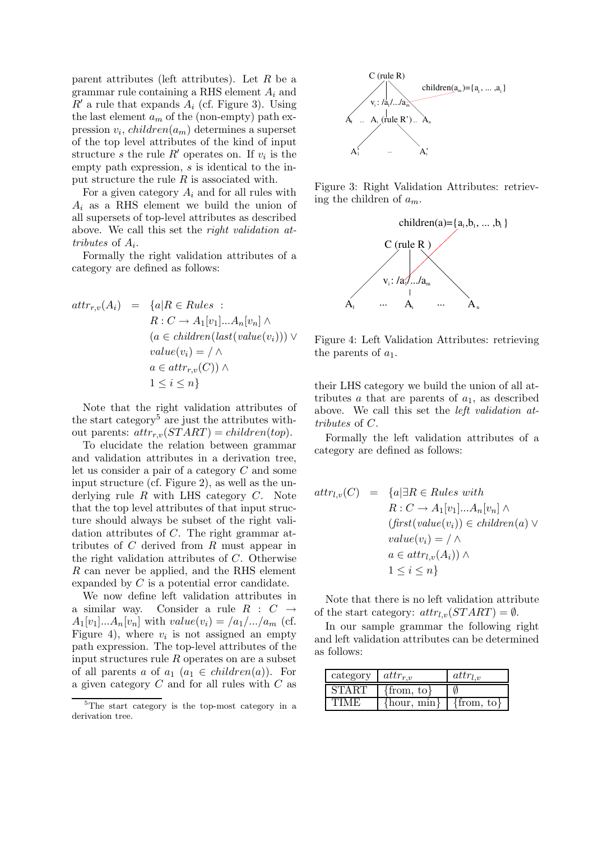parent attributes (left attributes). Let  $R$  be a grammar rule containing a RHS element  $A_i$  and  $R'$  a rule that expands  $A_i$  (cf. Figure 3). Using the last element  $a_m$  of the (non-empty) path expression  $v_i$ , *children* $(a_m)$  determines a superset of the top level attributes of the kind of input structure s the rule  $R'$  operates on. If  $v_i$  is the empty path expression, s is identical to the input structure the rule  $R$  is associated with.

For a given category  $A_i$  and for all rules with  $A_i$  as a RHS element we build the union of all supersets of top-level attributes as described above. We call this set the right validation attributes of  $A_i$ .

Formally the right validation attributes of a category are defined as follows:

$$
attr_{r,v}(A_i) = \{a | R \in Rules :
$$
  
\n
$$
R : C \to A_1[v_1]...A_n[v_n] \land
$$
  
\n
$$
(a \in children(last(value(v_i))) \lor
$$
  
\n
$$
value(v_i) = / \land
$$
  
\n
$$
a \in attr_{r,v}(C)) \land
$$
  
\n
$$
1 \leq i \leq n \}
$$

Note that the right validation attributes of the start category<sup>5</sup> are just the attributes without parents:  $attr_{r.v}(START) = children(top)$ .

To elucidate the relation between grammar and validation attributes in a derivation tree, let us consider a pair of a category C and some input structure (cf. Figure 2), as well as the underlying rule  $R$  with LHS category  $C$ . Note that the top level attributes of that input structure should always be subset of the right validation attributes of C. The right grammar attributes of C derived from R must appear in the right validation attributes of C. Otherwise R can never be applied, and the RHS element expanded by C is a potential error candidate.

We now define left validation attributes in a similar way. Consider a rule  $R : C \rightarrow$  $A_1[v_1]...A_n[v_n]$  with  $value(v_i) = \frac{a_1}{...}a_m$  (cf. Figure 4), where  $v_i$  is not assigned an empty path expression. The top-level attributes of the input structures rule  $R$  operates on are a subset of all parents a of  $a_1$   $(a_1 \in children(a))$ . For a given category C and for all rules with C as



Figure 3: Right Validation Attributes: retrieving the children of  $a_m$ .



Figure 4: Left Validation Attributes: retrieving the parents of  $a_1$ .

their LHS category we build the union of all attributes  $a$  that are parents of  $a_1$ , as described above. We call this set the *left validation* attributes of C.

Formally the left validation attributes of a category are defined as follows:

$$
attr_{l,v}(C) = \{a | \exists R \in Rules \ with
$$
  
\n
$$
R : C \to A_1[v_1]...A_n[v_n] \land
$$
  
\n
$$
(first(value(v_i)) \in children(a) \lor
$$
  
\n
$$
value(v_i) = / \land
$$
  
\n
$$
a \in attr_{l,v}(A_i)) \land
$$
  
\n
$$
1 \leq i \leq n \}
$$

Note that there is no left validation attribute of the start category:  $attr_{l,v}(START) = \emptyset$ .

In our sample grammar the following right and left validation attributes can be determined as follows:

| category $  \textit{attr}_{r,v}$ |                 | attr <sub>1</sub> |
|----------------------------------|-----------------|-------------------|
| <b>START</b>                     | $\{from, to\}$  |                   |
| ' FIME                           | $\{hour, min\}$ | $\{from, to\}$    |

 ${}^{5}$ The start category is the top-most category in a derivation tree.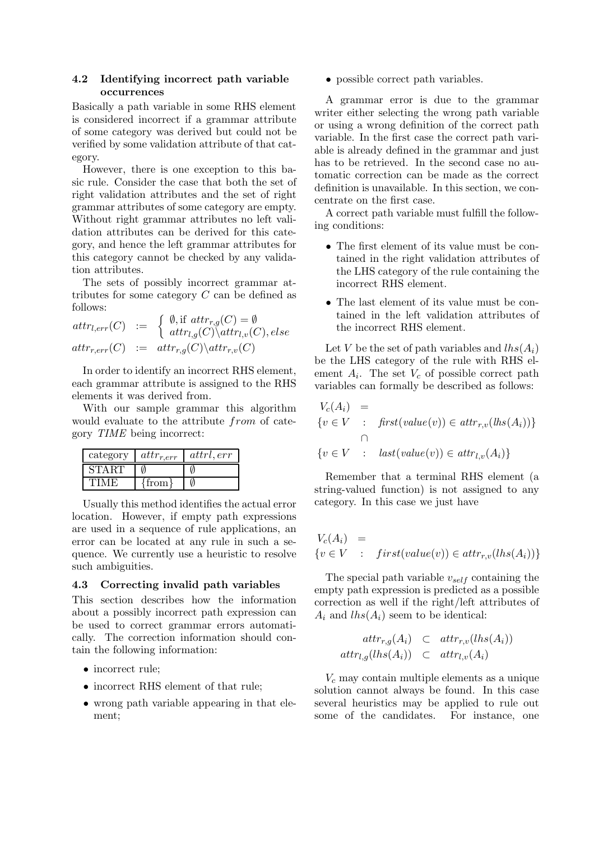### 4.2 Identifying incorrect path variable occurrences

Basically a path variable in some RHS element is considered incorrect if a grammar attribute of some category was derived but could not be verified by some validation attribute of that category.

However, there is one exception to this basic rule. Consider the case that both the set of right validation attributes and the set of right grammar attributes of some category are empty. Without right grammar attributes no left validation attributes can be derived for this category, and hence the left grammar attributes for this category cannot be checked by any validation attributes.

The sets of possibly incorrect grammar attributes for some category C can be defined as follows:

$$
attr_{l,err}(C) := \begin{cases} \emptyset, \text{if} \space attr_{r,g}(C) = \emptyset \\ attr_{l,g}(C) \backslash attr_{l,v}(C), else \\ attr_{r,err}(C) := attr_{r,g}(C) \backslash attr_{r,v}(C) \end{cases}
$$

In order to identify an incorrect RHS element, each grammar attribute is assigned to the RHS elements it was derived from.

With our sample grammar this algorithm would evaluate to the attribute from of category TIME being incorrect:

| category | $attr_{r,err}$ | attrl, err |
|----------|----------------|------------|
| START    |                |            |
|          | trom           |            |

Usually this method identifies the actual error location. However, if empty path expressions are used in a sequence of rule applications, an error can be located at any rule in such a sequence. We currently use a heuristic to resolve such ambiguities.

### 4.3 Correcting invalid path variables

This section describes how the information about a possibly incorrect path expression can be used to correct grammar errors automatically. The correction information should contain the following information:

- incorrect rule;
- incorrect RHS element of that rule;
- wrong path variable appearing in that element;

• possible correct path variables.

A grammar error is due to the grammar writer either selecting the wrong path variable or using a wrong definition of the correct path variable. In the first case the correct path variable is already defined in the grammar and just has to be retrieved. In the second case no automatic correction can be made as the correct definition is unavailable. In this section, we concentrate on the first case.

A correct path variable must fulfill the following conditions:

- The first element of its value must be contained in the right validation attributes of the LHS category of the rule containing the incorrect RHS element.
- The last element of its value must be contained in the left validation attributes of the incorrect RHS element.

Let V be the set of path variables and  $lhs(A_i)$ be the LHS category of the rule with RHS element  $A_i$ . The set  $V_c$  of possible correct path variables can formally be described as follows:

$$
V_c(A_i) =
$$
  
{ $v \in V$  :  $first(value(v)) \in attr_{r,v}(lhs(A_i))$ }  
{ $v \in V$  :  $last(value(v)) \in attr_{l,v}(A_i)$ }

Remember that a terminal RHS element (a string-valued function) is not assigned to any category. In this case we just have

$$
V_c(A_i) =
$$
  
{ $v \in V$  :  $first(value(v)) \in attr_{r,v}(lhs(A_i))$ }

The special path variable  $v_{self}$  containing the empty path expression is predicted as a possible correction as well if the right/left attributes of  $A_i$  and  $\text{lns}(A_i)$  seem to be identical:

$$
attr_{r,g}(A_i) \subseteq attr_{r,v}(lhs(A_i))
$$
  

$$
attr_{l,g}(lhs(A_i)) \subseteq attr_{l,v}(A_i)
$$

 $V_c$  may contain multiple elements as a unique solution cannot always be found. In this case several heuristics may be applied to rule out some of the candidates. For instance, one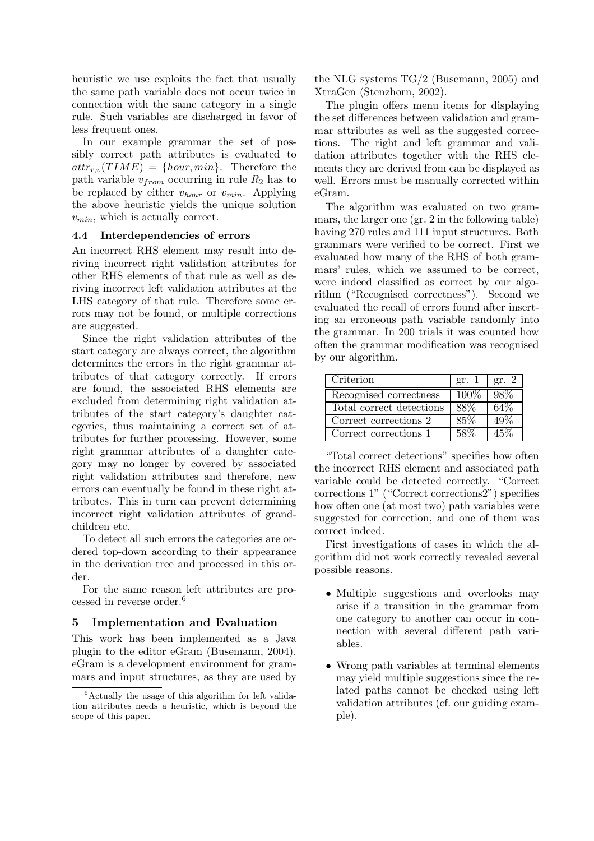heuristic we use exploits the fact that usually the same path variable does not occur twice in connection with the same category in a single rule. Such variables are discharged in favor of less frequent ones.

In our example grammar the set of possibly correct path attributes is evaluated to  $attr_{r.v}(TIME) = \{hour, min\}$ . Therefore the path variable  $v_{from}$  occurring in rule  $R_2$  has to be replaced by either  $v_{hour}$  or  $v_{min}$ . Applying the above heuristic yields the unique solution  $v_{min}$ , which is actually correct.

### 4.4 Interdependencies of errors

An incorrect RHS element may result into deriving incorrect right validation attributes for other RHS elements of that rule as well as deriving incorrect left validation attributes at the LHS category of that rule. Therefore some errors may not be found, or multiple corrections are suggested.

Since the right validation attributes of the start category are always correct, the algorithm determines the errors in the right grammar attributes of that category correctly. If errors are found, the associated RHS elements are excluded from determining right validation attributes of the start category's daughter categories, thus maintaining a correct set of attributes for further processing. However, some right grammar attributes of a daughter category may no longer by covered by associated right validation attributes and therefore, new errors can eventually be found in these right attributes. This in turn can prevent determining incorrect right validation attributes of grandchildren etc.

To detect all such errors the categories are ordered top-down according to their appearance in the derivation tree and processed in this order.

For the same reason left attributes are processed in reverse order.<sup>6</sup>

# 5 Implementation and Evaluation

This work has been implemented as a Java plugin to the editor eGram (Busemann, 2004). eGram is a development environment for grammars and input structures, as they are used by the NLG systems TG/2 (Busemann, 2005) and XtraGen (Stenzhorn, 2002).

The plugin offers menu items for displaying the set differences between validation and grammar attributes as well as the suggested corrections. The right and left grammar and validation attributes together with the RHS elements they are derived from can be displayed as well. Errors must be manually corrected within eGram.

The algorithm was evaluated on two grammars, the larger one (gr. 2 in the following table) having 270 rules and 111 input structures. Both grammars were verified to be correct. First we evaluated how many of the RHS of both grammars' rules, which we assumed to be correct, were indeed classified as correct by our algorithm ("Recognised correctness"). Second we evaluated the recall of errors found after inserting an erroneous path variable randomly into the grammar. In 200 trials it was counted how often the grammar modification was recognised by our algorithm.

| Criterion                | gr. 1   | gr. $2$ |
|--------------------------|---------|---------|
| Recognised correctness   | $100\%$ | 98%     |
| Total correct detections | 88%     | 64%     |
| Correct corrections 2    | 85%     |         |
| Correct corrections 1    |         | ハトツィ    |

"Total correct detections" specifies how often the incorrect RHS element and associated path variable could be detected correctly. "Correct corrections 1" ("Correct corrections2") specifies how often one (at most two) path variables were suggested for correction, and one of them was correct indeed.

First investigations of cases in which the algorithm did not work correctly revealed several possible reasons.

- Multiple suggestions and overlooks may arise if a transition in the grammar from one category to another can occur in connection with several different path variables.
- Wrong path variables at terminal elements may yield multiple suggestions since the related paths cannot be checked using left validation attributes (cf. our guiding example).

 ${}^{6}$ Actually the usage of this algorithm for left validation attributes needs a heuristic, which is beyond the scope of this paper.